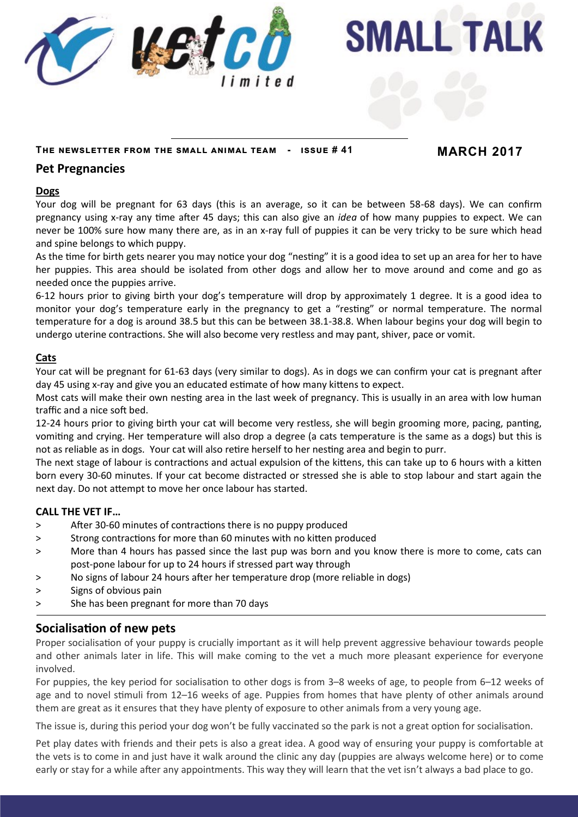

**SMALL TALK** 

#### **The newsletter from the small animal team - issue # 41 MARCH 2017**

## **Pet Pregnancies**

#### **Dogs**

Your dog will be pregnant for 63 days (this is an average, so it can be between 58-68 days). We can confirm pregnancy using x-ray any time after 45 days; this can also give an *idea* of how many puppies to expect. We can never be 100% sure how many there are, as in an x-ray full of puppies it can be very tricky to be sure which head and spine belongs to which puppy.

As the time for birth gets nearer you may notice your dog "nesting" it is a good idea to set up an area for her to have her puppies. This area should be isolated from other dogs and allow her to move around and come and go as needed once the puppies arrive.

6-12 hours prior to giving birth your dog's temperature will drop by approximately 1 degree. It is a good idea to monitor your dog's temperature early in the pregnancy to get a "resting" or normal temperature. The normal temperature for a dog is around 38.5 but this can be between 38.1-38.8. When labour begins your dog will begin to undergo uterine contractions. She will also become very restless and may pant, shiver, pace or vomit.

#### **Cats**

Your cat will be pregnant for 61-63 days (very similar to dogs). As in dogs we can confirm your cat is pregnant after day 45 using x-ray and give you an educated estimate of how many kittens to expect.

Most cats will make their own nesting area in the last week of pregnancy. This is usually in an area with low human traffic and a nice soft bed.

12-24 hours prior to giving birth your cat will become very restless, she will begin grooming more, pacing, panting, vomiting and crying. Her temperature will also drop a degree (a cats temperature is the same as a dogs) but this is not as reliable as in dogs. Your cat will also retire herself to her nesting area and begin to purr.

The next stage of labour is contractions and actual expulsion of the kittens, this can take up to 6 hours with a kitten born every 30-60 minutes. If your cat become distracted or stressed she is able to stop labour and start again the next day. Do not attempt to move her once labour has started.

#### **CALL THE VET IF…**

- > After 30-60 minutes of contractions there is no puppy produced
- > Strong contractions for more than 60 minutes with no kitten produced
- > More than 4 hours has passed since the last pup was born and you know there is more to come, cats can post-pone labour for up to 24 hours if stressed part way through
- > No signs of labour 24 hours after her temperature drop (more reliable in dogs)
- > Signs of obvious pain
- > She has been pregnant for more than 70 days

## **Socialisation of new pets**

Proper socialisation of your puppy is crucially important as it will help prevent aggressive behaviour towards people and other animals later in life. This will make coming to the vet a much more pleasant experience for everyone involved.

For puppies, the key period for socialisation to other dogs is from 3–8 weeks of age, to people from 6–12 weeks of age and to novel stimuli from 12–16 weeks of age. Puppies from homes that have plenty of other animals around them are great as it ensures that they have plenty of exposure to other animals from a very young age.

The issue is, during this period your dog won't be fully vaccinated so the park is not a great option for socialisation.

Pet play dates with friends and their pets is also a great idea. A good way of ensuring your puppy is comfortable at the vets is to come in and just have it walk around the clinic any day (puppies are always welcome here) or to come early or stay for a while after any appointments. This way they will learn that the vet isn't always a bad place to go.